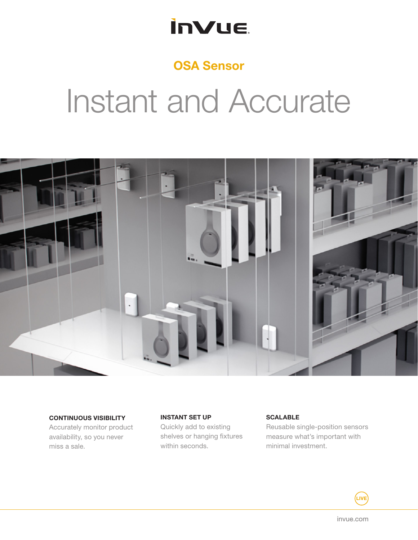### **inVue**

### OSA Sensor

# Instant and Accurate



CONTINUOUS VISIBILITY

Accurately monitor product availability, so you never miss a sale.

INSTANT SET UP Quickly add to existing shelves or hanging fixtures within seconds.

### **SCALABLE**

Reusable single-position sensors measure what's important with minimal investment.